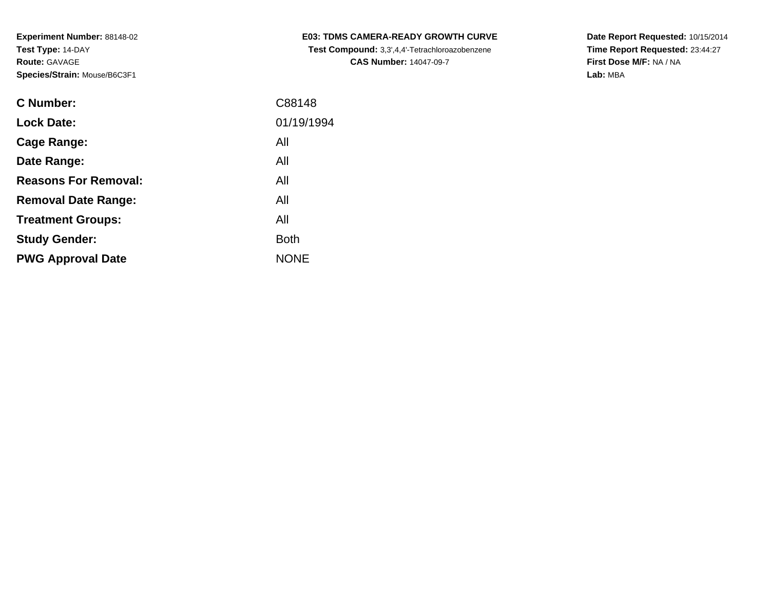| <b>C Number:</b>            | C88148      |
|-----------------------------|-------------|
| <b>Lock Date:</b>           | 01/19/1994  |
| Cage Range:                 | All         |
| Date Range:                 | All         |
| <b>Reasons For Removal:</b> | All         |
| <b>Removal Date Range:</b>  | All         |
| <b>Treatment Groups:</b>    | All         |
| <b>Study Gender:</b>        | <b>Both</b> |
| <b>PWG Approval Date</b>    | <b>NONE</b> |
|                             |             |

**E03: TDMS CAMERA-READY GROWTH CURVE Test Compound:** 3,3',4,4'-Tetrachloroazobenzene**CAS Number:** 14047-09-7

**Date Report Requested:** 10/15/2014 **Time Report Requested:** 23:44:27**First Dose M/F:** NA / NA**Lab:** MBA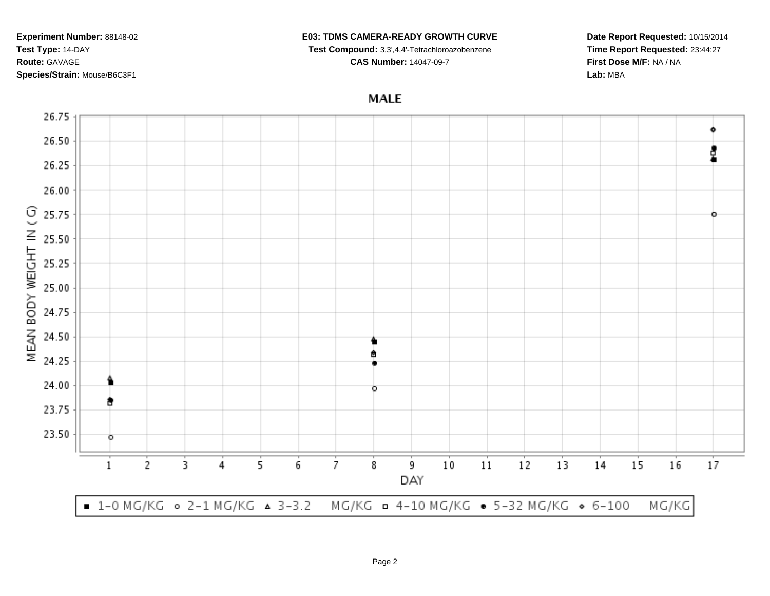## **E03: TDMS CAMERA-READY GROWTH CURVE**

**Test Compound:** 3,3',4,4'-Tetrachloroazobenzene

**CAS Number:** 14047-09-7

**Date Report Requested:** 10/15/2014**Time Report Requested:** 23:44:27**First Dose M/F:** NA / NA**Lab:** MBA

**MALE** 

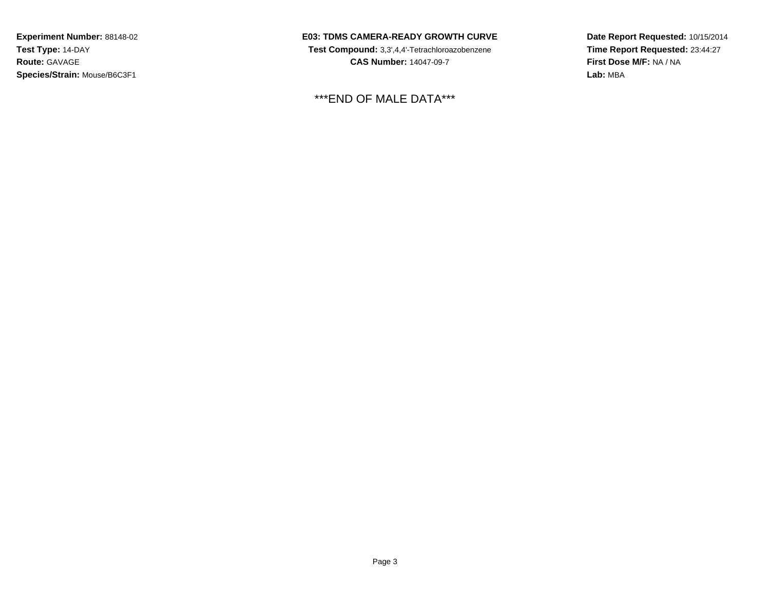**E03: TDMS CAMERA-READY GROWTH CURVE**

 **Test Compound:** 3,3',4,4'-Tetrachloroazobenzene**CAS Number:** 14047-09-7

\*\*\*END OF MALE DATA\*\*\*

**Date Report Requested:** 10/15/2014**Time Report Requested:** 23:44:27**First Dose M/F:** NA / NA**Lab:** MBA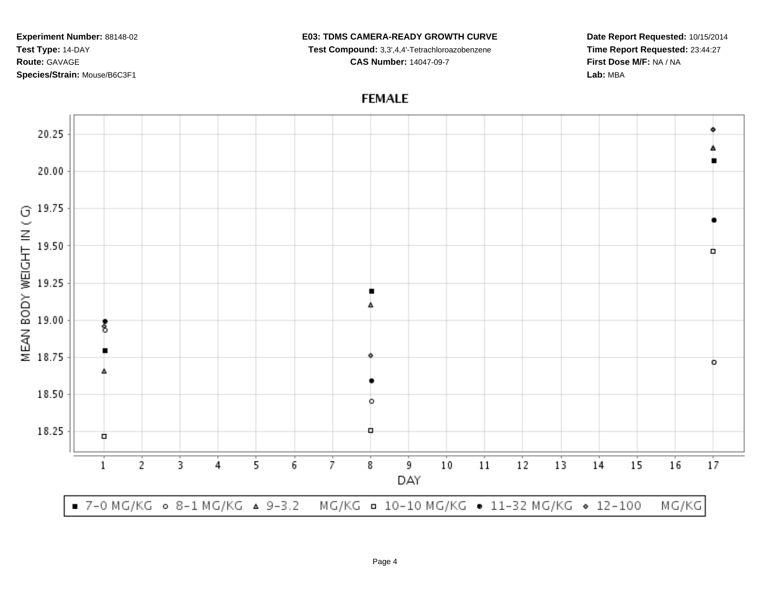## **E03: TDMS CAMERA-READY GROWTH CURVE**

 **Test Compound:** 3,3',4,4'-Tetrachloroazobenzene**CAS Number:** 14047-09-7

**Date Report Requested:** 10/15/2014**Time Report Requested:** 23:44:27**First Dose M/F:** NA / NA**Lab:** MBA

**FEMALE**